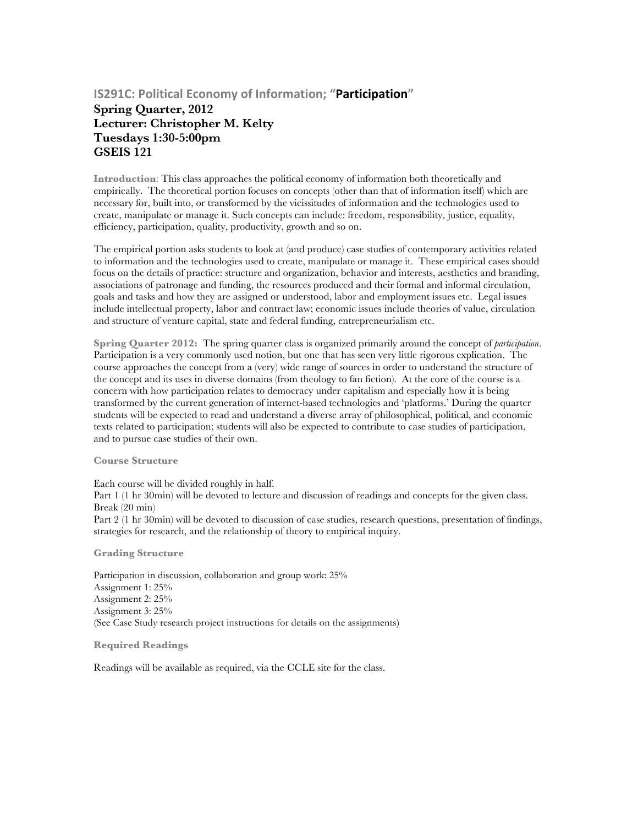## **IS291C: Political Economy of Information; "Participation"**

## **Spring Quarter, 2012 Lecturer: Christopher M. Kelty Tuesdays 1:30-5:00pm GSEIS 121**

**Introduction**: This class approaches the political economy of information both theoretically and empirically. The theoretical portion focuses on concepts (other than that of information itself) which are necessary for, built into, or transformed by the vicissitudes of information and the technologies used to create, manipulate or manage it. Such concepts can include: freedom, responsibility, justice, equality, efficiency, participation, quality, productivity, growth and so on.

The empirical portion asks students to look at (and produce) case studies of contemporary activities related to information and the technologies used to create, manipulate or manage it. These empirical cases should focus on the details of practice: structure and organization, behavior and interests, aesthetics and branding, associations of patronage and funding, the resources produced and their formal and informal circulation, goals and tasks and how they are assigned or understood, labor and employment issues etc. Legal issues include intellectual property, labor and contract law; economic issues include theories of value, circulation and structure of venture capital, state and federal funding, entrepreneurialism etc.

**Spring Quarter 2012:** The spring quarter class is organized primarily around the concept of *participation*. Participation is a very commonly used notion, but one that has seen very little rigorous explication. The course approaches the concept from a (very) wide range of sources in order to understand the structure of the concept and its uses in diverse domains (from theology to fan fiction). At the core of the course is a concern with how participation relates to democracy under capitalism and especially how it is being transformed by the current generation of internet-based technologies and 'platforms.' During the quarter students will be expected to read and understand a diverse array of philosophical, political, and economic texts related to participation; students will also be expected to contribute to case studies of participation, and to pursue case studies of their own.

**Course Structure**

Each course will be divided roughly in half.

Part 1 (1 hr 30min) will be devoted to lecture and discussion of readings and concepts for the given class. Break (20 min)

Part 2 (1 hr 30min) will be devoted to discussion of case studies, research questions, presentation of findings, strategies for research, and the relationship of theory to empirical inquiry.

**Grading Structure**

Participation in discussion, collaboration and group work: 25% Assignment 1: 25% Assignment 2: 25% Assignment 3: 25% (See Case Study research project instructions for details on the assignments)

**Required Readings**

Readings will be available as required, via the CCLE site for the class.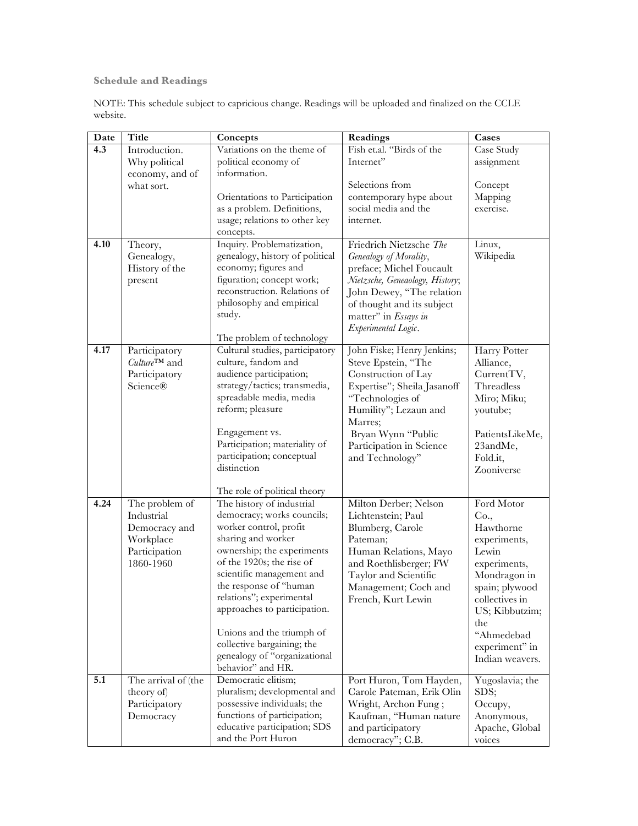**Schedule and Readings** 

NOTE: This schedule subject to capricious change. Readings will be uploaded and finalized on the CCLE website.

| Date | Title                      | Concepts                                     | Readings                                        | Cases                        |
|------|----------------------------|----------------------------------------------|-------------------------------------------------|------------------------------|
| 4.3  | Introduction.              | Variations on the theme of                   | Fish et.al. "Birds of the                       | Case Study                   |
|      | Why political              | political economy of                         | Internet"                                       | assignment                   |
|      | economy, and of            | information.                                 |                                                 |                              |
|      | what sort.                 |                                              | Selections from                                 | Concept                      |
|      |                            | Orientations to Participation                | contemporary hype about                         | Mapping                      |
|      |                            | as a problem. Definitions,                   | social media and the                            | exercise.                    |
|      |                            | usage; relations to other key                | internet.                                       |                              |
|      |                            | concepts.                                    |                                                 |                              |
| 4.10 | Theory,                    | Inquiry. Problematization,                   | Friedrich Nietzsche The                         | Linux,                       |
|      | Genealogy,                 | genealogy, history of political              | Genealogy of Morality,                          | Wikipedia                    |
|      | History of the             | economy; figures and                         | preface; Michel Foucault                        |                              |
|      | present                    | figuration; concept work;                    | Nietzsche, Geneaology, History;                 |                              |
|      |                            | reconstruction. Relations of                 | John Dewey, "The relation                       |                              |
|      |                            | philosophy and empirical<br>study.           | of thought and its subject                      |                              |
|      |                            |                                              | matter" in Essays in                            |                              |
|      |                            | The problem of technology                    | Experimental Logic.                             |                              |
| 4.17 | Participatory              | Cultural studies, participatory              | John Fiske; Henry Jenkins;                      | Harry Potter                 |
|      | $Culture^{TM}$ and         | culture, fandom and                          | Steve Epstein, "The                             | Alliance,                    |
|      | Participatory              | audience participation;                      | Construction of Lay                             | CurrentTV,                   |
|      | <b>Science®</b>            | strategy/tactics; transmedia,                | Expertise"; Sheila Jasanoff                     | Threadless                   |
|      |                            | spreadable media, media                      | "Technologies of                                | Miro; Miku;                  |
|      |                            | reform; pleasure                             | Humility"; Lezaun and                           | youtube;                     |
|      |                            |                                              | Marres;                                         |                              |
|      |                            | Engagement vs.                               | Bryan Wynn "Public                              | PatientsLikeMe,              |
|      |                            | Participation; materiality of                | Participation in Science                        | 23andMe,                     |
|      |                            | participation; conceptual                    | and Technology"                                 | Fold.it,                     |
|      |                            | distinction                                  |                                                 | Zooniverse                   |
|      |                            |                                              |                                                 |                              |
|      |                            | The role of political theory                 |                                                 |                              |
| 4.24 | The problem of             | The history of industrial                    | Milton Derber; Nelson                           | Ford Motor                   |
|      | Industrial                 | democracy; works councils;                   | Lichtenstein; Paul                              | Co.,                         |
|      | Democracy and              | worker control, profit<br>sharing and worker | Blumberg, Carole<br>Pateman;                    | Hawthorne                    |
|      | Workplace                  | ownership; the experiments                   |                                                 | experiments,<br>Lewin        |
|      | Participation<br>1860-1960 | of the 1920s; the rise of                    | Human Relations, Mayo<br>and Roethlisberger; FW |                              |
|      |                            | scientific management and                    | Taylor and Scientific                           | experiments,<br>Mondragon in |
|      |                            | the response of "human                       | Management; Coch and                            | spain; plywood               |
|      |                            | relations"; experimental                     | French, Kurt Lewin                              | collectives in               |
|      |                            | approaches to participation.                 |                                                 | US; Kibbutzim;               |
|      |                            |                                              |                                                 | the                          |
|      |                            | Unions and the triumph of                    |                                                 | "Ahmedebad                   |
|      |                            | collective bargaining; the                   |                                                 | experiment" in               |
|      |                            | genealogy of "organizational                 |                                                 | Indian weavers.              |
|      |                            | behavior" and HR.                            |                                                 |                              |
| 5.1  | The arrival of (the        | Democratic elitism;                          | Port Huron, Tom Hayden,                         | Yugoslavia; the              |
|      | theory of)                 | pluralism; developmental and                 | Carole Pateman, Erik Olin                       | SDS;                         |
|      | Participatory              | possessive individuals; the                  | Wright, Archon Fung;                            | Occupy,                      |
|      | Democracy                  | functions of participation;                  | Kaufman, "Human nature                          | Anonymous,                   |
|      |                            | educative participation; SDS                 | and participatory                               | Apache, Global               |
|      |                            | and the Port Huron                           | democracy"; C.B.                                | voices                       |